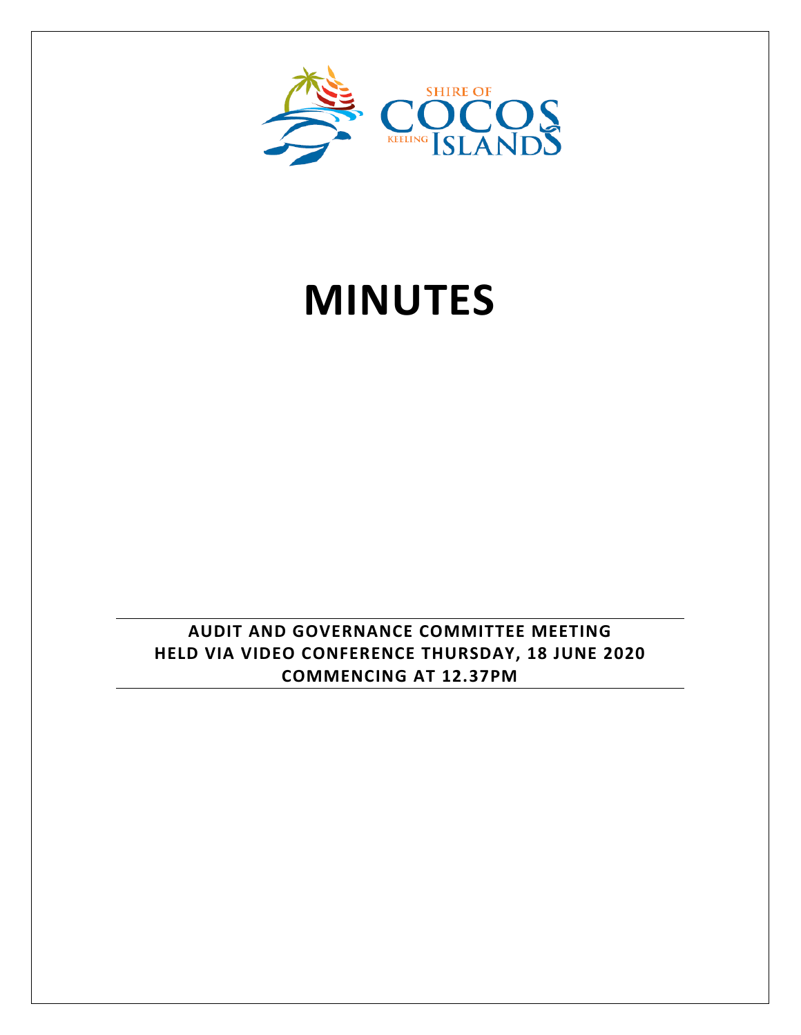

# **MINUTES**

**AUDIT AND GOVERNANCE COMMITTEE MEETING HELD VIA VIDEO CONFERENCE THURSDAY, 18 JUNE 2020 COMMENCING AT 12.37PM**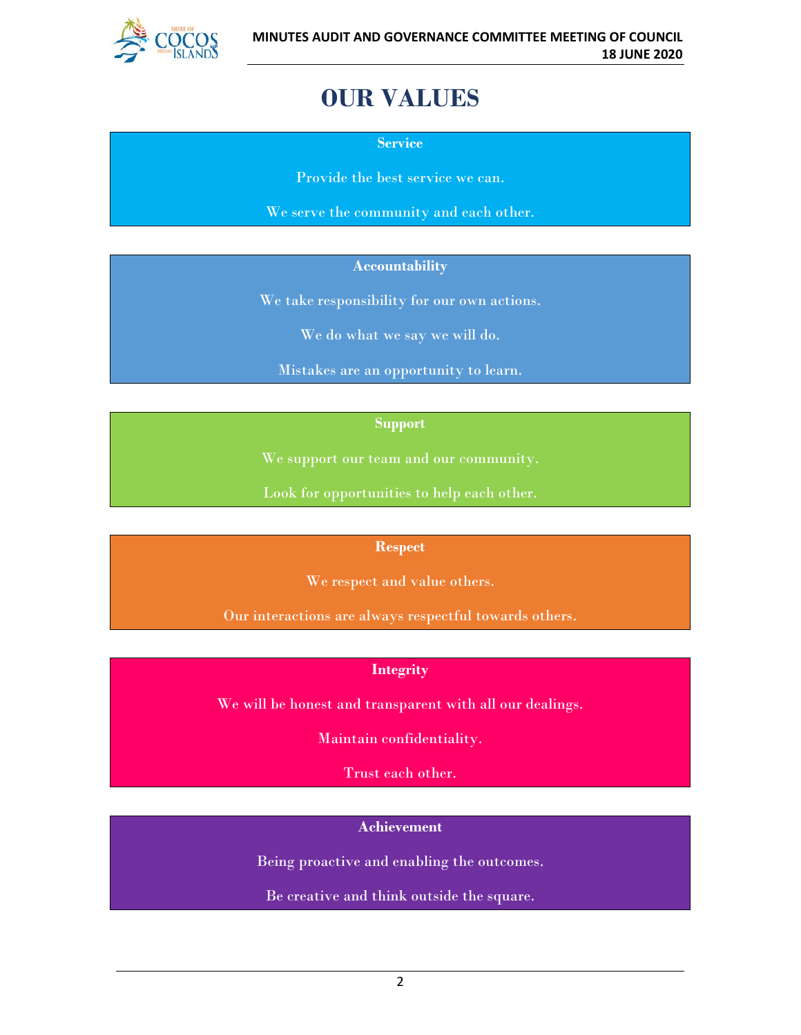

# **OUR VALUES**

**Service**

Provide the best service we can.

We serve the community and each other.

#### **Accountability**

We take responsibility for our own actions.

We do what we say we will do.

Mistakes are an opportunity to learn.

#### **Support**

We support our team and our community.

Look for opportunities to help each other.

#### **Respect**

We respect and value others.

Our interactions are always respectful towards others.

#### **Integrity**

We will be honest and transparent with all our dealings.

Maintain confidentiality.

Trust each other.

#### **Achievement**

Being proactive and enabling the outcomes.

Be creative and think outside the square.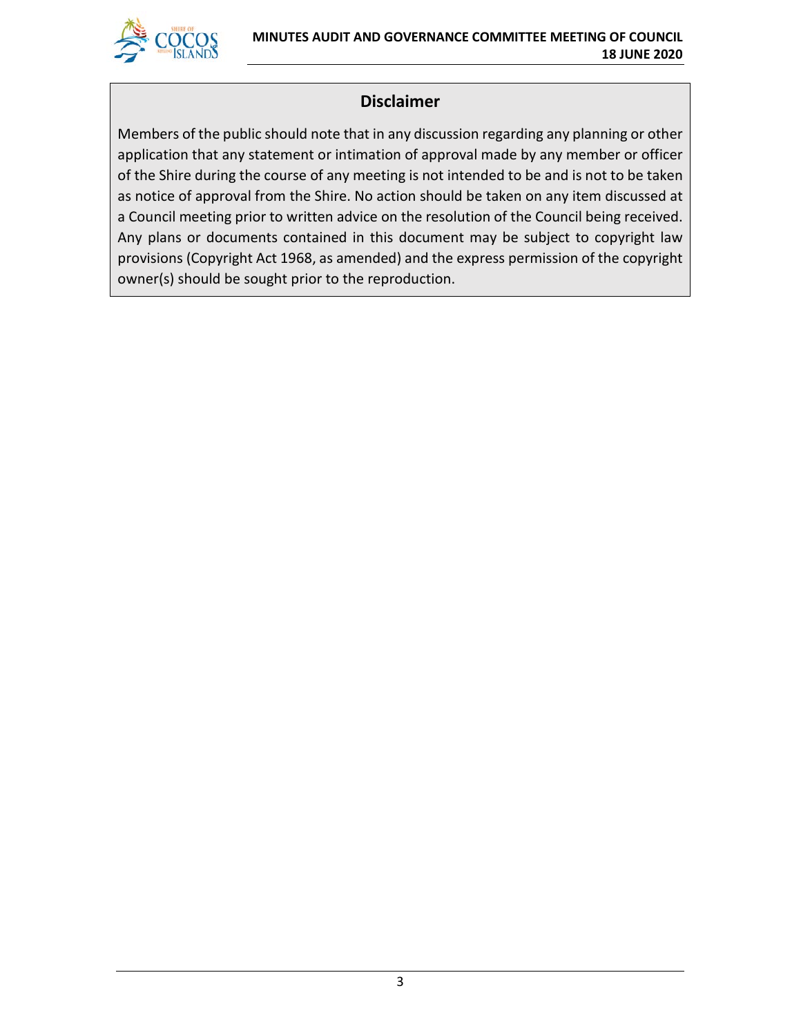

# **Disclaimer**

Members of the public should note that in any discussion regarding any planning or other application that any statement or intimation of approval made by any member or officer of the Shire during the course of any meeting is not intended to be and is not to be taken as notice of approval from the Shire. No action should be taken on any item discussed at a Council meeting prior to written advice on the resolution of the Council being received. Any plans or documents contained in this document may be subject to copyright law provisions (Copyright Act 1968, as amended) and the express permission of the copyright owner(s) should be sought prior to the reproduction.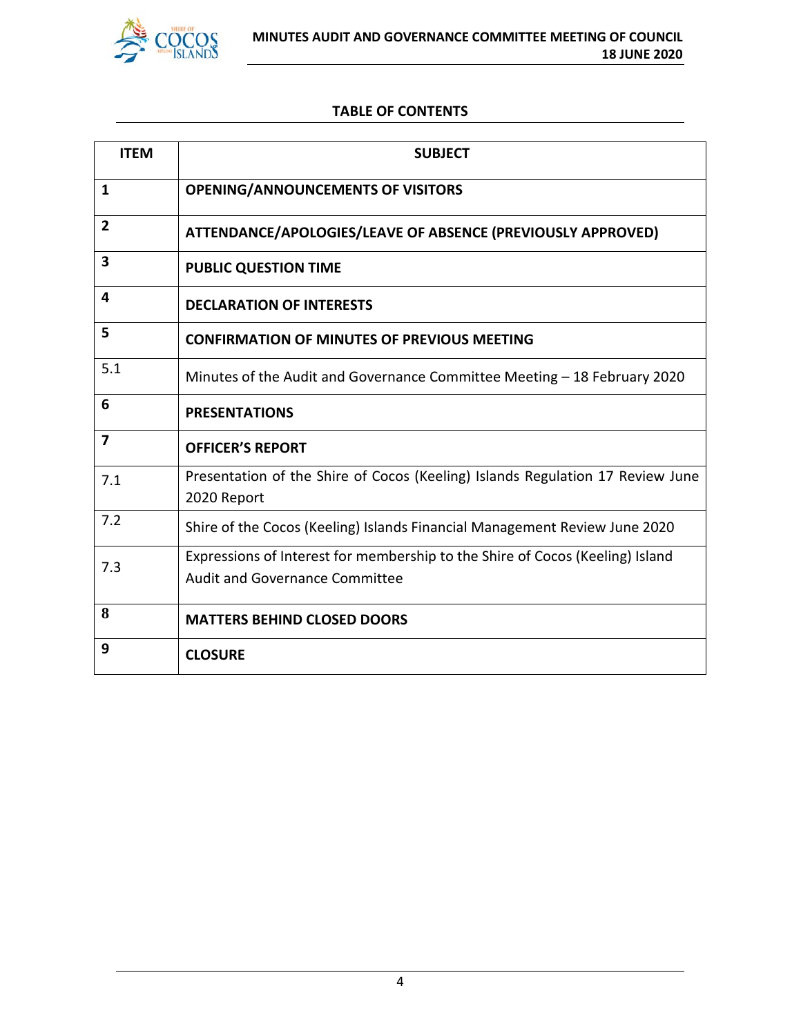

#### **TABLE OF CONTENTS**

| <b>ITEM</b>             | <b>SUBJECT</b>                                                                                                         |
|-------------------------|------------------------------------------------------------------------------------------------------------------------|
| $\mathbf{1}$            | <b>OPENING/ANNOUNCEMENTS OF VISITORS</b>                                                                               |
| $\overline{2}$          | ATTENDANCE/APOLOGIES/LEAVE OF ABSENCE (PREVIOUSLY APPROVED)                                                            |
| $\overline{\mathbf{3}}$ | <b>PUBLIC QUESTION TIME</b>                                                                                            |
| 4                       | <b>DECLARATION OF INTERESTS</b>                                                                                        |
| 5                       | <b>CONFIRMATION OF MINUTES OF PREVIOUS MEETING</b>                                                                     |
| 5.1                     | Minutes of the Audit and Governance Committee Meeting - 18 February 2020                                               |
| 6                       | <b>PRESENTATIONS</b>                                                                                                   |
| $\overline{\mathbf{z}}$ | <b>OFFICER'S REPORT</b>                                                                                                |
| 7.1                     | Presentation of the Shire of Cocos (Keeling) Islands Regulation 17 Review June<br>2020 Report                          |
| 7.2                     | Shire of the Cocos (Keeling) Islands Financial Management Review June 2020                                             |
| 7.3                     | Expressions of Interest for membership to the Shire of Cocos (Keeling) Island<br><b>Audit and Governance Committee</b> |
| 8                       | <b>MATTERS BEHIND CLOSED DOORS</b>                                                                                     |
| 9                       | <b>CLOSURE</b>                                                                                                         |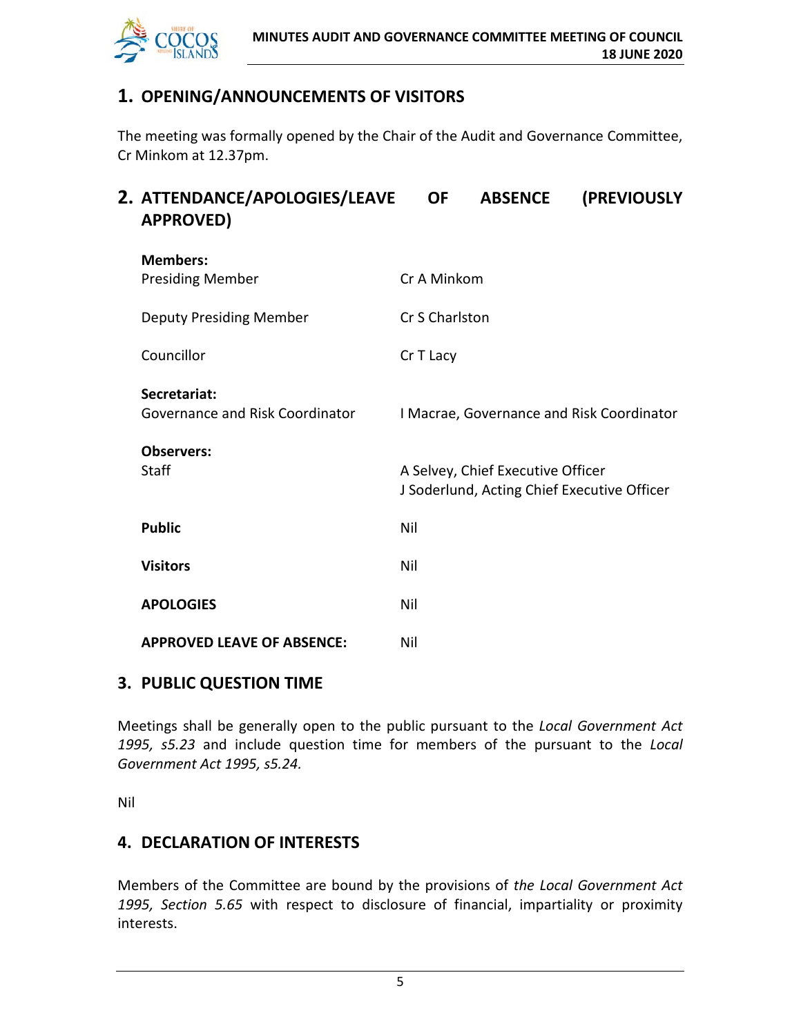

# **1. OPENING/ANNOUNCEMENTS OF VISITORS**

The meeting was formally opened by the Chair of the Audit and Governance Committee, Cr Minkom at 12.37pm.

| 2. ATTENDANCE/APOLOGIES/LEAVE<br><b>APPROVED)</b> | <b>OF</b>      | <b>ABSENCE</b>                                                                   | (PREVIOUSLY                               |
|---------------------------------------------------|----------------|----------------------------------------------------------------------------------|-------------------------------------------|
| <b>Members:</b><br><b>Presiding Member</b>        | Cr A Minkom    |                                                                                  |                                           |
| <b>Deputy Presiding Member</b>                    | Cr S Charlston |                                                                                  |                                           |
| Councillor                                        | Cr T Lacy      |                                                                                  |                                           |
| Secretariat:<br>Governance and Risk Coordinator   |                |                                                                                  | I Macrae, Governance and Risk Coordinator |
| <b>Observers:</b><br><b>Staff</b>                 |                | A Selvey, Chief Executive Officer<br>J Soderlund, Acting Chief Executive Officer |                                           |
| <b>Public</b>                                     | Nil            |                                                                                  |                                           |
| <b>Visitors</b>                                   | Nil            |                                                                                  |                                           |
| <b>APOLOGIES</b>                                  | Nil            |                                                                                  |                                           |
| <b>APPROVED LEAVE OF ABSENCE:</b>                 | Nil            |                                                                                  |                                           |
|                                                   |                |                                                                                  |                                           |

# **3. PUBLIC QUESTION TIME**

Meetings shall be generally open to the public pursuant to the *Local Government Act 1995, s5.23* and include question time for members of the pursuant to the *Local Government Act 1995, s5.24.*

Nil

# **4. DECLARATION OF INTERESTS**

Members of the Committee are bound by the provisions of *the Local Government Act 1995, Section 5.65* with respect to disclosure of financial, impartiality or proximity interests.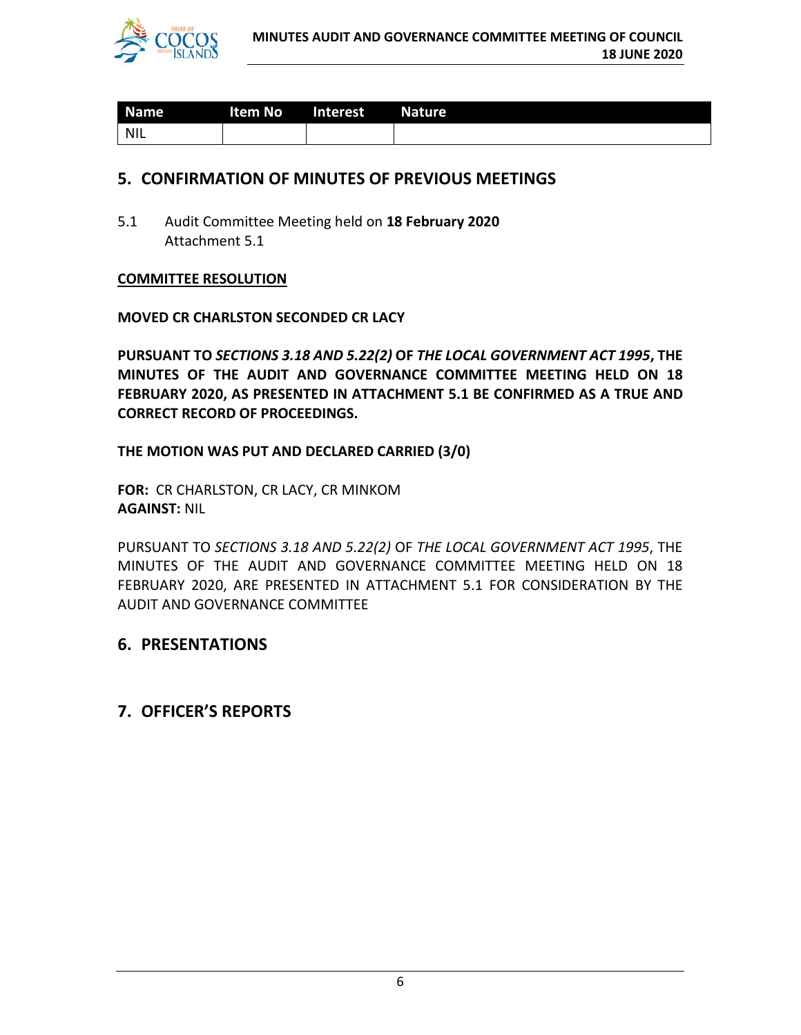

| <b>Name</b> | <b>Example 2016</b> Item No. 2016 | Interest | Nature <sup>1</sup> |
|-------------|-----------------------------------|----------|---------------------|
| <b>NIL</b>  |                                   |          |                     |

#### **5. CONFIRMATION OF MINUTES OF PREVIOUS MEETINGS**

5.1 Audit Committee Meeting held on **18 February 2020** Attachment 5.1

#### **COMMITTEE RESOLUTION**

#### **MOVED CR CHARLSTON SECONDED CR LACY**

**PURSUANT TO** *SECTIONS 3.18 AND 5.22(2)* **OF** *THE LOCAL GOVERNMENT ACT 1995***, THE MINUTES OF THE AUDIT AND GOVERNANCE COMMITTEE MEETING HELD ON 18 FEBRUARY 2020, AS PRESENTED IN ATTACHMENT 5.1 BE CONFIRMED AS A TRUE AND CORRECT RECORD OF PROCEEDINGS.**

#### **THE MOTION WAS PUT AND DECLARED CARRIED (3/0)**

**FOR:** CR CHARLSTON, CR LACY, CR MINKOM **AGAINST:** NIL

PURSUANT TO *SECTIONS 3.18 AND 5.22(2)* OF *THE LOCAL GOVERNMENT ACT 1995*, THE MINUTES OF THE AUDIT AND GOVERNANCE COMMITTEE MEETING HELD ON 18 FEBRUARY 2020, ARE PRESENTED IN ATTACHMENT 5.1 FOR CONSIDERATION BY THE AUDIT AND GOVERNANCE COMMITTEE

# **6. PRESENTATIONS**

# **7. OFFICER'S REPORTS**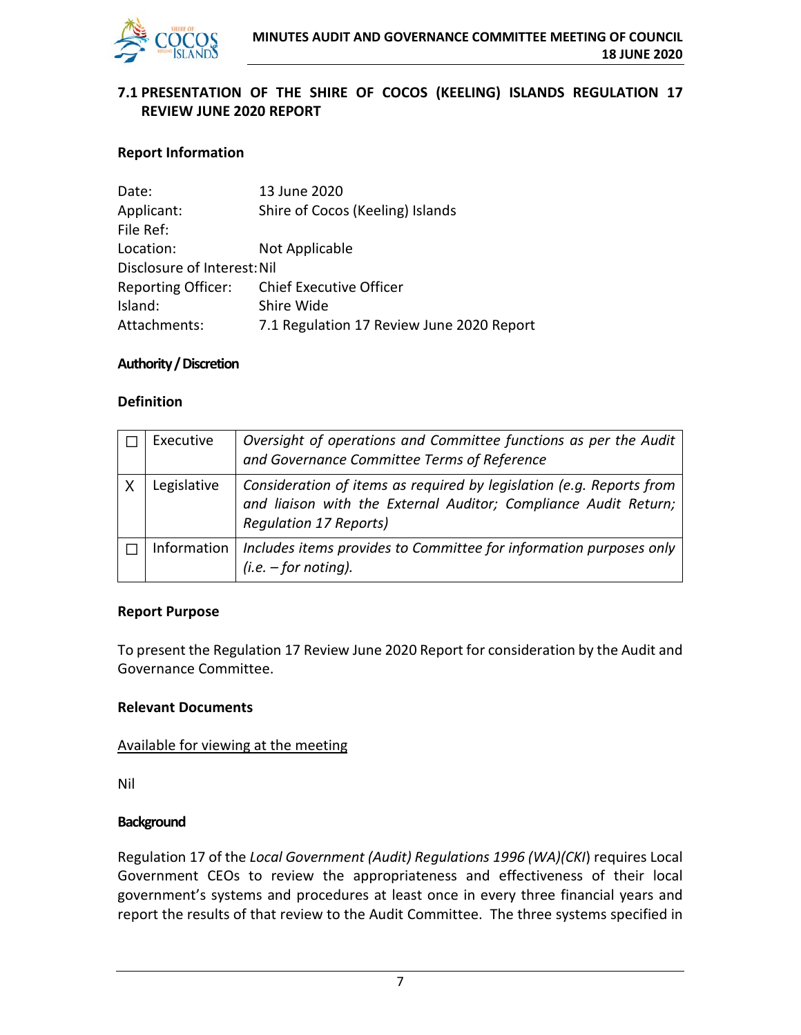

#### **7.1 PRESENTATION OF THE SHIRE OF COCOS (KEELING) ISLANDS REGULATION 17 REVIEW JUNE 2020 REPORT**

#### **Report Information**

| Date:                       | 13 June 2020                              |
|-----------------------------|-------------------------------------------|
| Applicant:                  | Shire of Cocos (Keeling) Islands          |
| File Ref:                   |                                           |
| Location:                   | Not Applicable                            |
| Disclosure of Interest: Nil |                                           |
| <b>Reporting Officer:</b>   | Chief Executive Officer                   |
| Island:                     | Shire Wide                                |
| Attachments:                | 7.1 Regulation 17 Review June 2020 Report |
|                             |                                           |

#### **Authority / Discretion**

#### **Definition**

| Executive   | Oversight of operations and Committee functions as per the Audit<br>and Governance Committee Terms of Reference                                                          |
|-------------|--------------------------------------------------------------------------------------------------------------------------------------------------------------------------|
| Legislative | Consideration of items as required by legislation (e.g. Reports from<br>and liaison with the External Auditor; Compliance Audit Return;<br><b>Requlation 17 Reports)</b> |
| Information | Includes items provides to Committee for information purposes only<br>$(i.e. - for noting).$                                                                             |

#### **Report Purpose**

To present the Regulation 17 Review June 2020 Report for consideration by the Audit and Governance Committee.

#### **Relevant Documents**

#### Available for viewing at the meeting

Nil

#### **Background**

Regulation 17 of the *Local Government (Audit) Regulations 1996 (WA)(CKI*) requires Local Government CEOs to review the appropriateness and effectiveness of their local government's systems and procedures at least once in every three financial years and report the results of that review to the Audit Committee. The three systems specified in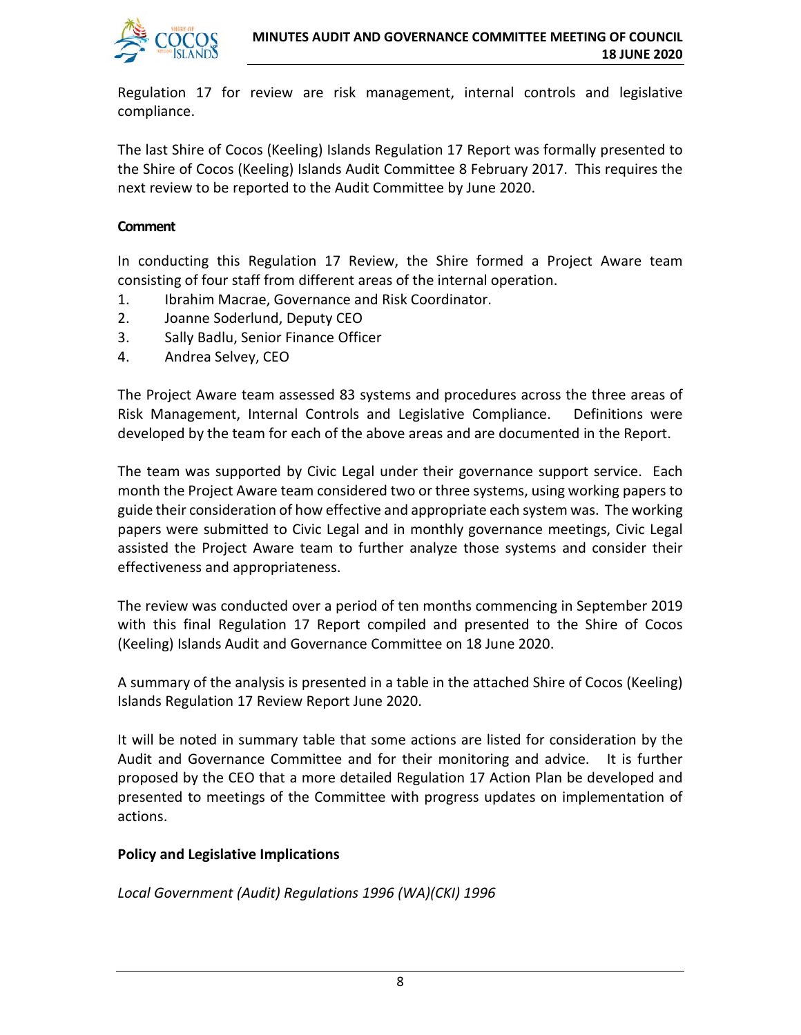

Regulation 17 for review are risk management, internal controls and legislative compliance.

The last Shire of Cocos (Keeling) Islands Regulation 17 Report was formally presented to the Shire of Cocos (Keeling) Islands Audit Committee 8 February 2017. This requires the next review to be reported to the Audit Committee by June 2020.

#### **Comment**

In conducting this Regulation 17 Review, the Shire formed a Project Aware team consisting of four staff from different areas of the internal operation.

- 1. Ibrahim Macrae, Governance and Risk Coordinator.
- 2. Joanne Soderlund, Deputy CEO
- 3. Sally Badlu, Senior Finance Officer
- 4. Andrea Selvey, CEO

The Project Aware team assessed 83 systems and procedures across the three areas of Risk Management, Internal Controls and Legislative Compliance. Definitions were developed by the team for each of the above areas and are documented in the Report.

The team was supported by Civic Legal under their governance support service. Each month the Project Aware team considered two or three systems, using working papers to guide their consideration of how effective and appropriate each system was. The working papers were submitted to Civic Legal and in monthly governance meetings, Civic Legal assisted the Project Aware team to further analyze those systems and consider their effectiveness and appropriateness.

The review was conducted over a period of ten months commencing in September 2019 with this final Regulation 17 Report compiled and presented to the Shire of Cocos (Keeling) Islands Audit and Governance Committee on 18 June 2020.

A summary of the analysis is presented in a table in the attached Shire of Cocos (Keeling) Islands Regulation 17 Review Report June 2020.

It will be noted in summary table that some actions are listed for consideration by the Audit and Governance Committee and for their monitoring and advice. It is further proposed by the CEO that a more detailed Regulation 17 Action Plan be developed and presented to meetings of the Committee with progress updates on implementation of actions.

#### **Policy and Legislative Implications**

*Local Government (Audit) Regulations 1996 (WA)(CKI) 1996*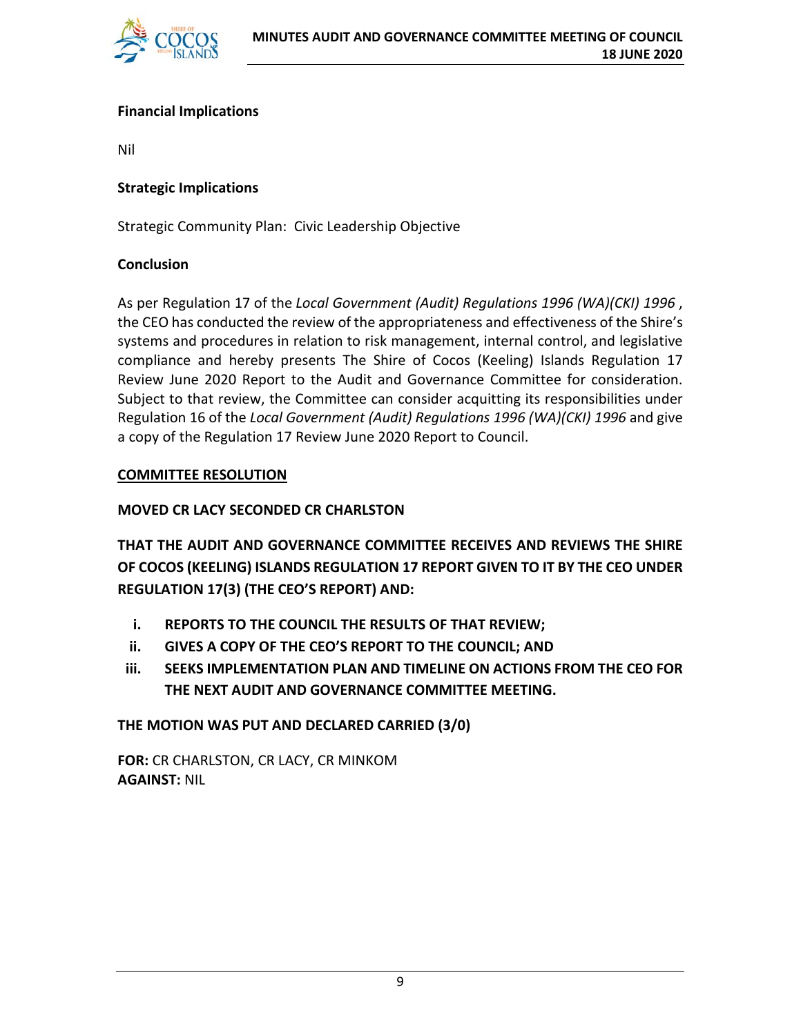

#### **Financial Implications**

Nil

#### **Strategic Implications**

Strategic Community Plan: Civic Leadership Objective

#### **Conclusion**

As per Regulation 17 of the *Local Government (Audit) Regulations 1996 (WA)(CKI) 1996* , the CEO has conducted the review of the appropriateness and effectiveness of the Shire's systems and procedures in relation to risk management, internal control, and legislative compliance and hereby presents The Shire of Cocos (Keeling) Islands Regulation 17 Review June 2020 Report to the Audit and Governance Committee for consideration. Subject to that review, the Committee can consider acquitting its responsibilities under Regulation 16 of the *Local Government (Audit) Regulations 1996 (WA)(CKI) 1996* and give a copy of the Regulation 17 Review June 2020 Report to Council.

#### **COMMITTEE RESOLUTION**

#### **MOVED CR LACY SECONDED CR CHARLSTON**

**THAT THE AUDIT AND GOVERNANCE COMMITTEE RECEIVES AND REVIEWS THE SHIRE OF COCOS (KEELING) ISLANDS REGULATION 17 REPORT GIVEN TO IT BY THE CEO UNDER REGULATION 17(3) (THE CEO'S REPORT) AND:**

- **i. REPORTS TO THE COUNCIL THE RESULTS OF THAT REVIEW;**
- **ii. GIVES A COPY OF THE CEO'S REPORT TO THE COUNCIL; AND**
- **iii. SEEKS IMPLEMENTATION PLAN AND TIMELINE ON ACTIONS FROM THE CEO FOR THE NEXT AUDIT AND GOVERNANCE COMMITTEE MEETING.**

#### **THE MOTION WAS PUT AND DECLARED CARRIED (3/0)**

**FOR:** CR CHARLSTON, CR LACY, CR MINKOM **AGAINST:** NIL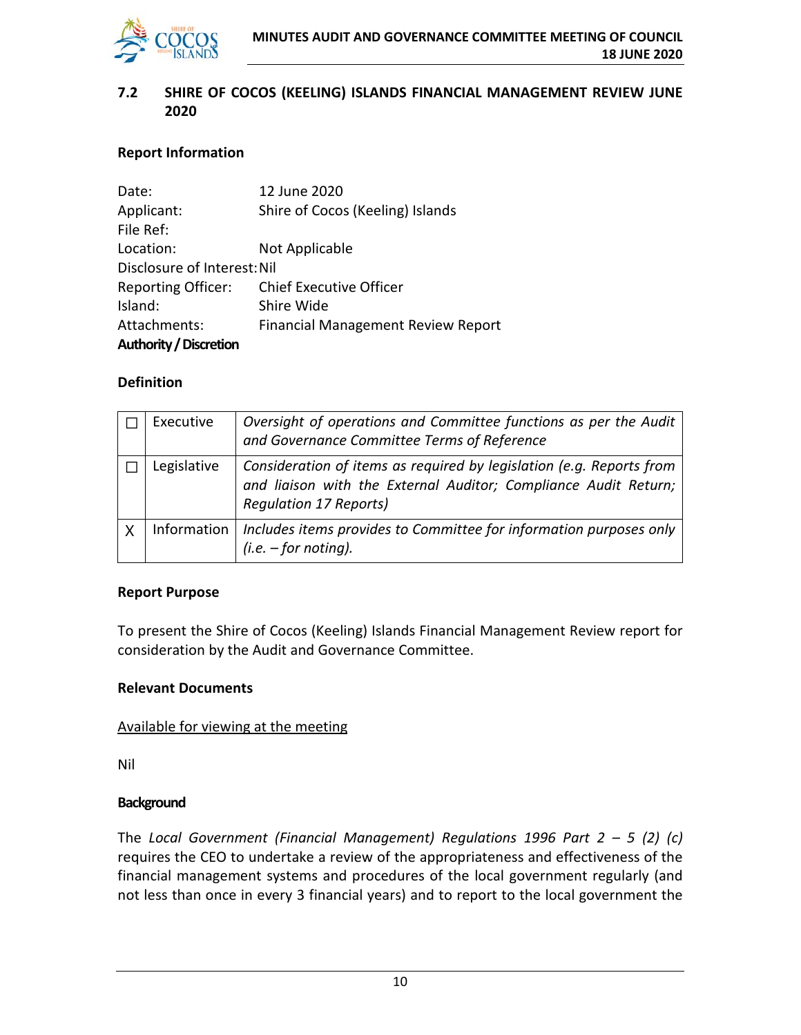

#### **7.2 SHIRE OF COCOS (KEELING) ISLANDS FINANCIAL MANAGEMENT REVIEW JUNE 2020**

#### **Report Information**

| Date:                         | 12 June 2020                              |
|-------------------------------|-------------------------------------------|
| Applicant:                    | Shire of Cocos (Keeling) Islands          |
| File Ref:                     |                                           |
| Location:                     | Not Applicable                            |
| Disclosure of Interest: Nil   |                                           |
| <b>Reporting Officer:</b>     | <b>Chief Executive Officer</b>            |
| Island:                       | Shire Wide                                |
| Attachments:                  | <b>Financial Management Review Report</b> |
| <b>Authority / Discretion</b> |                                           |

#### **Definition**

|          | Executive   | Oversight of operations and Committee functions as per the Audit<br>and Governance Committee Terms of Reference                                                          |
|----------|-------------|--------------------------------------------------------------------------------------------------------------------------------------------------------------------------|
|          | Legislative | Consideration of items as required by legislation (e.g. Reports from<br>and liaison with the External Auditor; Compliance Audit Return;<br><b>Regulation 17 Reports)</b> |
| $\times$ | Information | Includes items provides to Committee for information purposes only<br>$(i.e. - for noting).$                                                                             |

#### **Report Purpose**

To present the Shire of Cocos (Keeling) Islands Financial Management Review report for consideration by the Audit and Governance Committee.

#### **Relevant Documents**

#### Available for viewing at the meeting

Nil

#### **Background**

The *Local Government (Financial Management) Regulations 1996 Part 2 – 5 (2) (c)* requires the CEO to undertake a review of the appropriateness and effectiveness of the financial management systems and procedures of the local government regularly (and not less than once in every 3 financial years) and to report to the local government the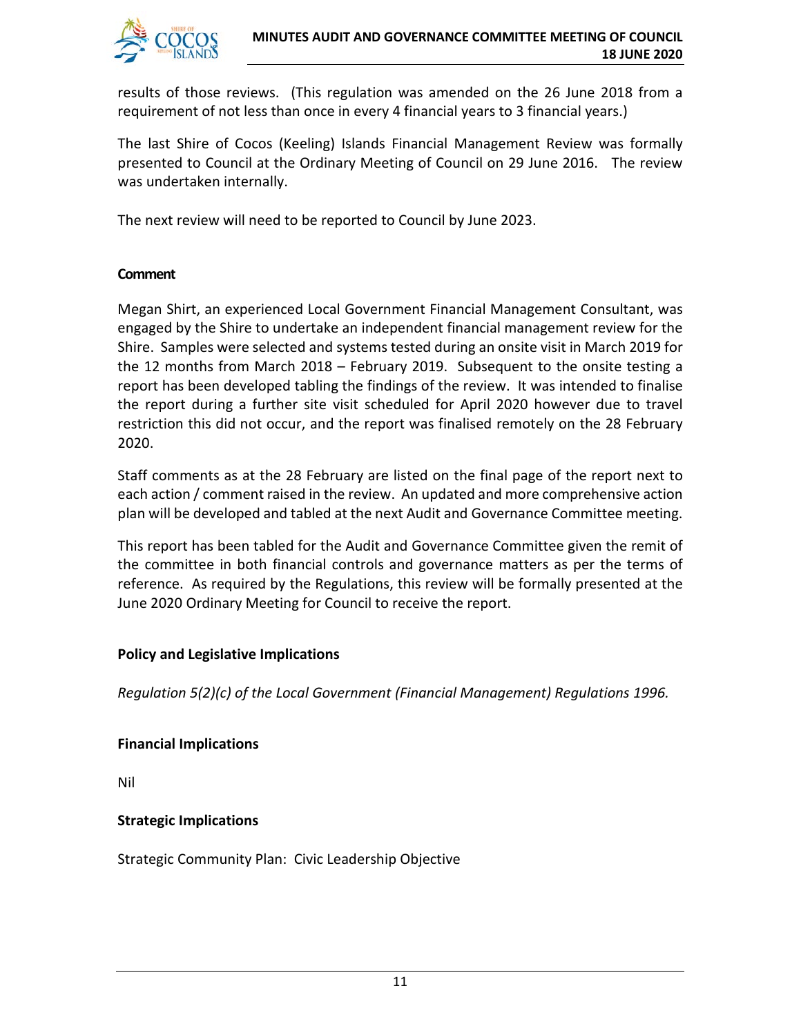

results of those reviews. (This regulation was amended on the 26 June 2018 from a requirement of not less than once in every 4 financial years to 3 financial years.)

The last Shire of Cocos (Keeling) Islands Financial Management Review was formally presented to Council at the Ordinary Meeting of Council on 29 June 2016. The review was undertaken internally.

The next review will need to be reported to Council by June 2023.

#### **Comment**

Megan Shirt, an experienced Local Government Financial Management Consultant, was engaged by the Shire to undertake an independent financial management review for the Shire. Samples were selected and systems tested during an onsite visit in March 2019 for the 12 months from March 2018 – February 2019. Subsequent to the onsite testing a report has been developed tabling the findings of the review. It was intended to finalise the report during a further site visit scheduled for April 2020 however due to travel restriction this did not occur, and the report was finalised remotely on the 28 February 2020.

Staff comments as at the 28 February are listed on the final page of the report next to each action / comment raised in the review. An updated and more comprehensive action plan will be developed and tabled at the next Audit and Governance Committee meeting.

This report has been tabled for the Audit and Governance Committee given the remit of the committee in both financial controls and governance matters as per the terms of reference. As required by the Regulations, this review will be formally presented at the June 2020 Ordinary Meeting for Council to receive the report.

#### **Policy and Legislative Implications**

*Regulation 5(2)(c) of the Local Government (Financial Management) Regulations 1996.*

#### **Financial Implications**

Nil

#### **Strategic Implications**

Strategic Community Plan: Civic Leadership Objective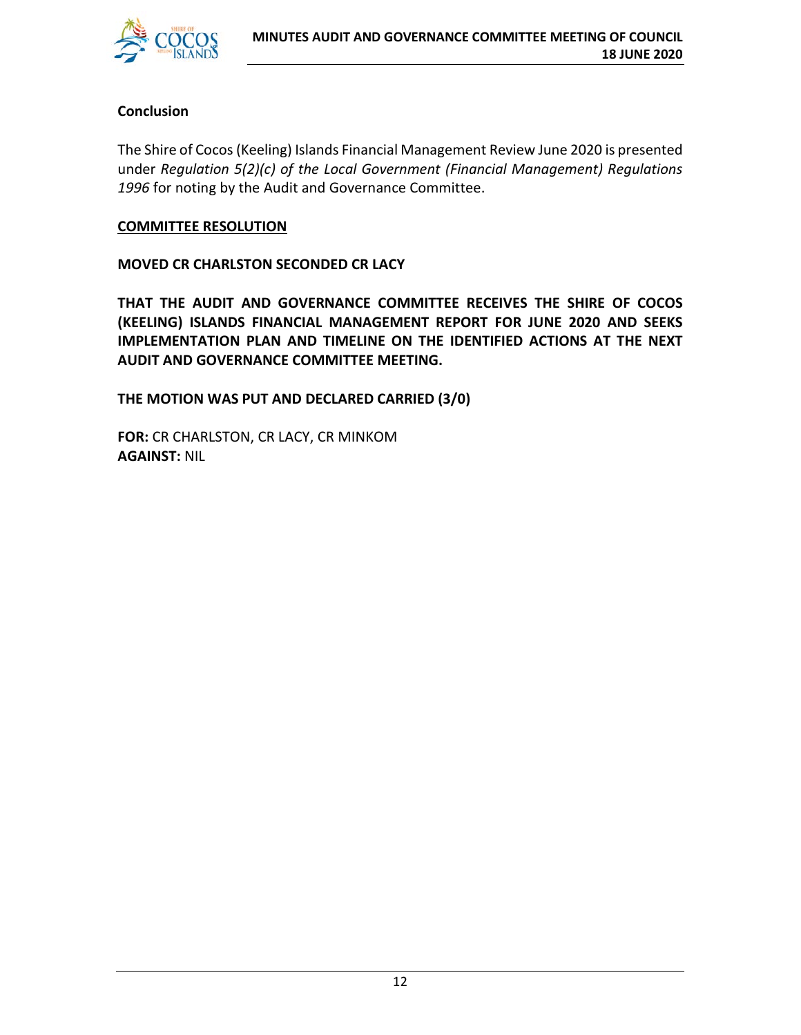

#### **Conclusion**

The Shire of Cocos (Keeling) Islands Financial Management Review June 2020 is presented under *Regulation 5(2)(c) of the Local Government (Financial Management) Regulations 1996* for noting by the Audit and Governance Committee.

#### **COMMITTEE RESOLUTION**

**MOVED CR CHARLSTON SECONDED CR LACY**

**THAT THE AUDIT AND GOVERNANCE COMMITTEE RECEIVES THE SHIRE OF COCOS (KEELING) ISLANDS FINANCIAL MANAGEMENT REPORT FOR JUNE 2020 AND SEEKS IMPLEMENTATION PLAN AND TIMELINE ON THE IDENTIFIED ACTIONS AT THE NEXT AUDIT AND GOVERNANCE COMMITTEE MEETING.**

**THE MOTION WAS PUT AND DECLARED CARRIED (3/0)**

**FOR:** CR CHARLSTON, CR LACY, CR MINKOM **AGAINST:** NIL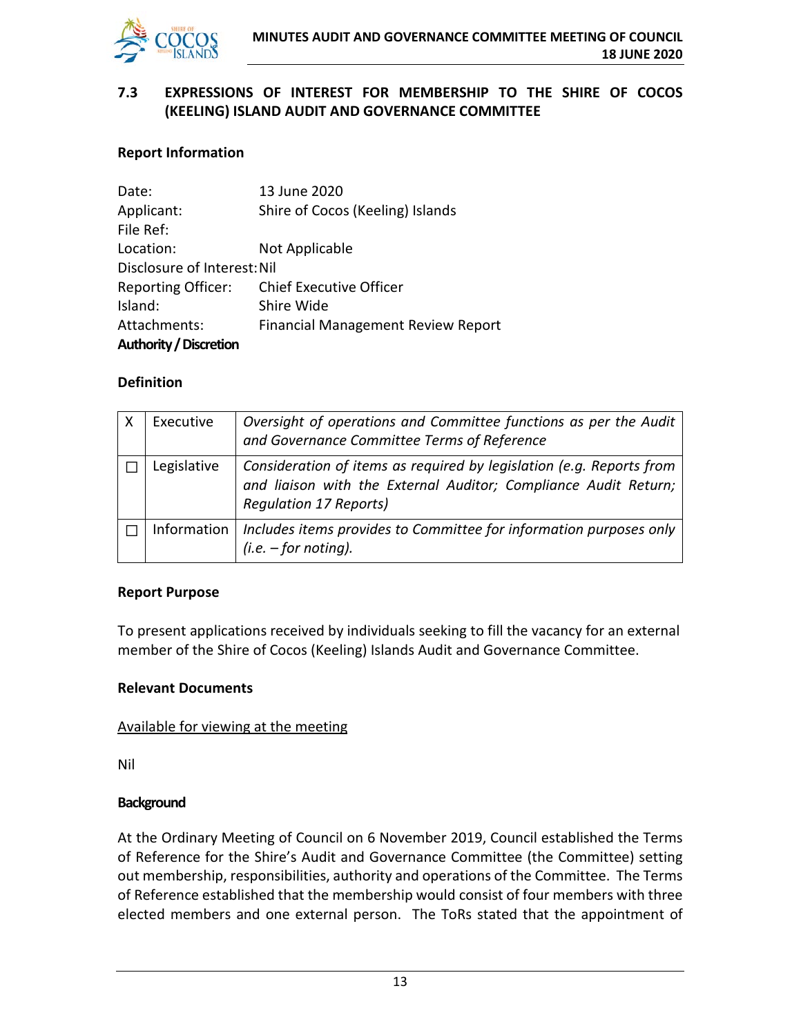

#### **7.3 EXPRESSIONS OF INTEREST FOR MEMBERSHIP TO THE SHIRE OF COCOS (KEELING) ISLAND AUDIT AND GOVERNANCE COMMITTEE**

#### **Report Information**

| Date:                         | 13 June 2020                              |
|-------------------------------|-------------------------------------------|
| Applicant:                    | Shire of Cocos (Keeling) Islands          |
| File Ref:                     |                                           |
| Location:                     | Not Applicable                            |
| Disclosure of Interest: Nil   |                                           |
| <b>Reporting Officer:</b>     | <b>Chief Executive Officer</b>            |
| Island:                       | Shire Wide                                |
| Attachments:                  | <b>Financial Management Review Report</b> |
| <b>Authority / Discretion</b> |                                           |

#### **Definition**

| Executive   | Oversight of operations and Committee functions as per the Audit<br>and Governance Committee Terms of Reference                                                          |
|-------------|--------------------------------------------------------------------------------------------------------------------------------------------------------------------------|
| Legislative | Consideration of items as required by legislation (e.g. Reports from<br>and liaison with the External Auditor; Compliance Audit Return;<br><b>Requlation 17 Reports)</b> |
| Information | Includes items provides to Committee for information purposes only<br>$(i.e. - for noting).$                                                                             |

#### **Report Purpose**

To present applications received by individuals seeking to fill the vacancy for an external member of the Shire of Cocos (Keeling) Islands Audit and Governance Committee.

#### **Relevant Documents**

#### Available for viewing at the meeting

Nil

#### **Background**

At the Ordinary Meeting of Council on 6 November 2019, Council established the Terms of Reference for the Shire's Audit and Governance Committee (the Committee) setting out membership, responsibilities, authority and operations of the Committee. The Terms of Reference established that the membership would consist of four members with three elected members and one external person. The ToRs stated that the appointment of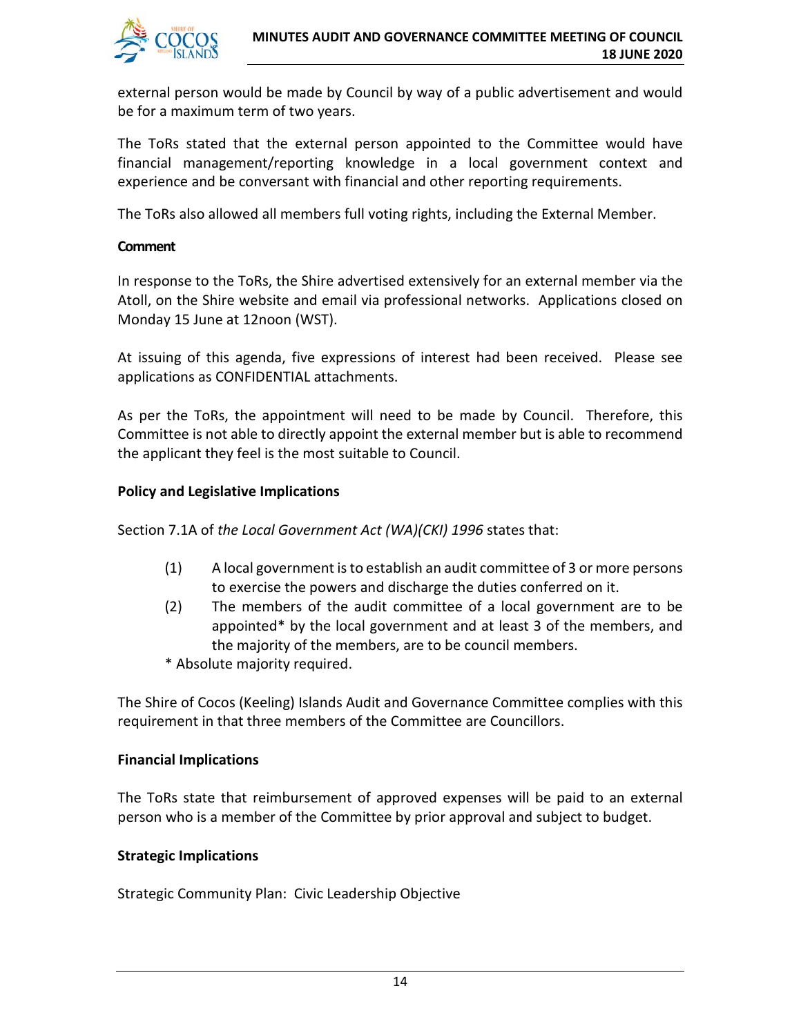

external person would be made by Council by way of a public advertisement and would be for a maximum term of two years.

The ToRs stated that the external person appointed to the Committee would have financial management/reporting knowledge in a local government context and experience and be conversant with financial and other reporting requirements.

The ToRs also allowed all members full voting rights, including the External Member.

#### **Comment**

In response to the ToRs, the Shire advertised extensively for an external member via the Atoll, on the Shire website and email via professional networks. Applications closed on Monday 15 June at 12noon (WST).

At issuing of this agenda, five expressions of interest had been received. Please see applications as CONFIDENTIAL attachments.

As per the ToRs, the appointment will need to be made by Council. Therefore, this Committee is not able to directly appoint the external member but is able to recommend the applicant they feel is the most suitable to Council.

#### **Policy and Legislative Implications**

Section 7.1A of *the Local Government Act (WA)(CKI) 1996* states that:

- (1) A local government is to establish an audit committee of 3 or more persons to exercise the powers and discharge the duties conferred on it.
- (2) The members of the audit committee of a local government are to be appointed\* by the local government and at least 3 of the members, and the majority of the members, are to be council members.
- \* Absolute majority required.

The Shire of Cocos (Keeling) Islands Audit and Governance Committee complies with this requirement in that three members of the Committee are Councillors.

#### **Financial Implications**

The ToRs state that reimbursement of approved expenses will be paid to an external person who is a member of the Committee by prior approval and subject to budget.

#### **Strategic Implications**

Strategic Community Plan: Civic Leadership Objective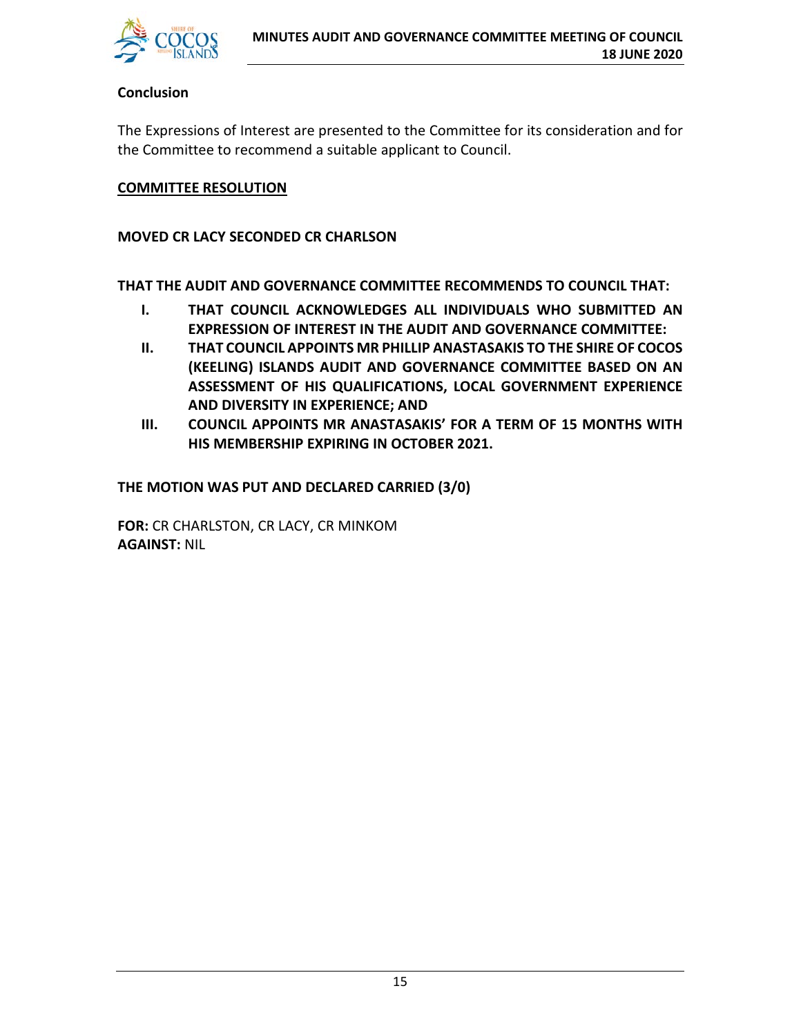

#### **Conclusion**

The Expressions of Interest are presented to the Committee for its consideration and for the Committee to recommend a suitable applicant to Council.

#### **COMMITTEE RESOLUTION**

#### **MOVED CR LACY SECONDED CR CHARLSON**

**THAT THE AUDIT AND GOVERNANCE COMMITTEE RECOMMENDS TO COUNCIL THAT:**

- **I. THAT COUNCIL ACKNOWLEDGES ALL INDIVIDUALS WHO SUBMITTED AN EXPRESSION OF INTEREST IN THE AUDIT AND GOVERNANCE COMMITTEE:**
- **II. THAT COUNCIL APPOINTS MR PHILLIP ANASTASAKIS TO THE SHIRE OF COCOS (KEELING) ISLANDS AUDIT AND GOVERNANCE COMMITTEE BASED ON AN ASSESSMENT OF HIS QUALIFICATIONS, LOCAL GOVERNMENT EXPERIENCE AND DIVERSITY IN EXPERIENCE; AND**
- **III. COUNCIL APPOINTS MR ANASTASAKIS' FOR A TERM OF 15 MONTHS WITH HIS MEMBERSHIP EXPIRING IN OCTOBER 2021.**

**THE MOTION WAS PUT AND DECLARED CARRIED (3/0)**

**FOR:** CR CHARLSTON, CR LACY, CR MINKOM **AGAINST:** NIL